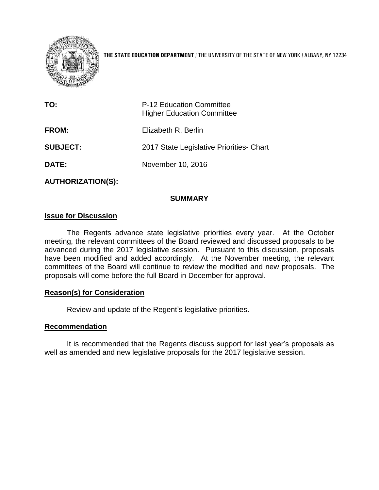

**THE STATE EDUCATION DEPARTMENT** / THE UNIVERSITY OF THE STATE OF NEW YORK / ALBANY, NY 12234

| TO:             | <b>P-12 Education Committee</b><br><b>Higher Education Committee</b> |
|-----------------|----------------------------------------------------------------------|
| <b>FROM:</b>    | Elizabeth R. Berlin                                                  |
| <b>SUBJECT:</b> | 2017 State Legislative Priorities - Chart                            |
| <b>DATE:</b>    | November 10, 2016                                                    |
|                 |                                                                      |

**AUTHORIZATION(S):**

## **SUMMARY**

### **Issue for Discussion**

The Regents advance state legislative priorities every year. At the October meeting, the relevant committees of the Board reviewed and discussed proposals to be advanced during the 2017 legislative session. Pursuant to this discussion, proposals have been modified and added accordingly. At the November meeting, the relevant committees of the Board will continue to review the modified and new proposals. The proposals will come before the full Board in December for approval.

#### **Reason(s) for Consideration**

Review and update of the Regent's legislative priorities.

#### **Recommendation**

It is recommended that the Regents discuss support for last year's proposals as well as amended and new legislative proposals for the 2017 legislative session.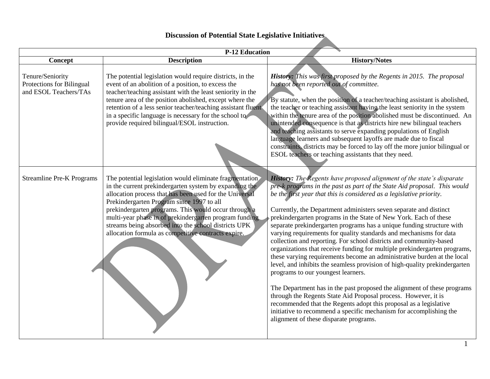# **Discussion of Potential State Legislative Initiatives**

| <b>P-12 Education</b>                                                  |                                                                                                                                                                                                                                                                                                                                                                                                                                                            |                                                                                                                                                                                                                                                                                                                                                                                                                                                                                                                                                                                                                                                                                                                                                                                                                                                                                                                                                                                                                                                                                                                                                                                                       |
|------------------------------------------------------------------------|------------------------------------------------------------------------------------------------------------------------------------------------------------------------------------------------------------------------------------------------------------------------------------------------------------------------------------------------------------------------------------------------------------------------------------------------------------|-------------------------------------------------------------------------------------------------------------------------------------------------------------------------------------------------------------------------------------------------------------------------------------------------------------------------------------------------------------------------------------------------------------------------------------------------------------------------------------------------------------------------------------------------------------------------------------------------------------------------------------------------------------------------------------------------------------------------------------------------------------------------------------------------------------------------------------------------------------------------------------------------------------------------------------------------------------------------------------------------------------------------------------------------------------------------------------------------------------------------------------------------------------------------------------------------------|
| Concept                                                                | <b>Description</b>                                                                                                                                                                                                                                                                                                                                                                                                                                         | <b>History/Notes</b>                                                                                                                                                                                                                                                                                                                                                                                                                                                                                                                                                                                                                                                                                                                                                                                                                                                                                                                                                                                                                                                                                                                                                                                  |
| Tenure/Seniority<br>Protections for Bilingual<br>and ESOL Teachers/TAs | The potential legislation would require districts, in the<br>event of an abolition of a position, to excess the<br>teacher/teaching assistant with the least seniority in the<br>tenure area of the position abolished, except where the<br>retention of a less senior teacher/teaching assistant fluent<br>in a specific language is necessary for the school to<br>provide required bilingual/ESOL instruction.                                          | <b>History:</b> This was first proposed by the Regents in 2015. The proposal<br>has not been reported out of committee.<br>By statute, when the position of a teacher/teaching assistant is abolished,<br>the teacher or teaching assistant having the least seniority in the system<br>within the tenure area of the position abolished must be discontinued. An<br>unintended consequence is that as districts hire new bilingual teachers<br>and teaching assistants to serve expanding populations of English<br>language learners and subsequent layoffs are made due to fiscal<br>constraints, districts may be forced to lay off the more junior bilingual or<br>ESOL teachers or teaching assistants that they need.                                                                                                                                                                                                                                                                                                                                                                                                                                                                          |
| <b>Streamline Pre-K Programs</b>                                       | The potential legislation would eliminate fragmentation<br>in the current prekindergarten system by expanding the<br>allocation process that has been used for the Universal<br>Prekindergarten Program since 1997 to all<br>prekindergarten programs. This would occur through a<br>multi-year phase in of prekindergarten program funding<br>streams being absorbed into the school districts UPK<br>allocation formula as competitive contracts expire. | History: The Regents have proposed alignment of the state's disparate<br>pre-k programs in the past as part of the State Aid proposal. This would<br>be the first year that this is considered as a legislative priority.<br>Currently, the Department administers seven separate and distinct<br>prekindergarten programs in the State of New York. Each of these<br>separate prekindergarten programs has a unique funding structure with<br>varying requirements for quality standards and mechanisms for data<br>collection and reporting. For school districts and community-based<br>organizations that receive funding for multiple prekindergarten programs,<br>these varying requirements become an administrative burden at the local<br>level, and inhibits the seamless provision of high-quality prekindergarten<br>programs to our youngest learners.<br>The Department has in the past proposed the alignment of these programs<br>through the Regents State Aid Proposal process. However, it is<br>recommended that the Regents adopt this proposal as a legislative<br>initiative to recommend a specific mechanism for accomplishing the<br>alignment of these disparate programs. |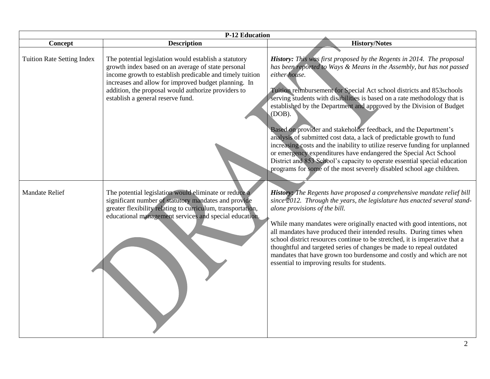| <b>P-12 Education</b>             |                                                                                                                                                                                                                                                                                                                             |                                                                                                                                                                                                                                                                                                                                                                                                                                                                                                                                                                                                                                                                                                                                                                                                                                                              |
|-----------------------------------|-----------------------------------------------------------------------------------------------------------------------------------------------------------------------------------------------------------------------------------------------------------------------------------------------------------------------------|--------------------------------------------------------------------------------------------------------------------------------------------------------------------------------------------------------------------------------------------------------------------------------------------------------------------------------------------------------------------------------------------------------------------------------------------------------------------------------------------------------------------------------------------------------------------------------------------------------------------------------------------------------------------------------------------------------------------------------------------------------------------------------------------------------------------------------------------------------------|
| Concept                           | <b>Description</b>                                                                                                                                                                                                                                                                                                          | <b>History/Notes</b>                                                                                                                                                                                                                                                                                                                                                                                                                                                                                                                                                                                                                                                                                                                                                                                                                                         |
| <b>Tuition Rate Setting Index</b> | The potential legislation would establish a statutory<br>growth index based on an average of state personal<br>income growth to establish predicable and timely tuition<br>increases and allow for improved budget planning. In<br>addition, the proposal would authorize providers to<br>establish a general reserve fund. | History: This was first proposed by the Regents in 2014. The proposal<br>has been reported to Ways & Means in the Assembly, but has not passed<br>either house.<br>Tuition reimbursement for Special Act school districts and 853schools<br>serving students with disabilities is based on a rate methodology that is<br>established by the Department and approved by the Division of Budget<br>(DOB).<br>Based on provider and stakeholder feedback, and the Department's<br>analysis of submitted cost data, a lack of predictable growth to fund<br>increasing costs and the inability to utilize reserve funding for unplanned<br>or emergency expenditures have endangered the Special Act School<br>District and 853 School's capacity to operate essential special education<br>programs for some of the most severely disabled school age children. |
| <b>Mandate Relief</b>             | The potential legislation would eliminate or reduce a<br>significant number of statutory mandates and provide<br>greater flexibility relating to curriculum, transportation,<br>educational management services and special education.                                                                                      | History: The Regents have proposed a comprehensive mandate relief bill<br>since 2012. Through the years, the legislature has enacted several stand-<br>alone provisions of the bill.<br>While many mandates were originally enacted with good intentions, not<br>all mandates have produced their intended results. During times when<br>school district resources continue to be stretched, it is imperative that a<br>thoughtful and targeted series of changes be made to repeal outdated<br>mandates that have grown too burdensome and costly and which are not<br>essential to improving results for students.                                                                                                                                                                                                                                         |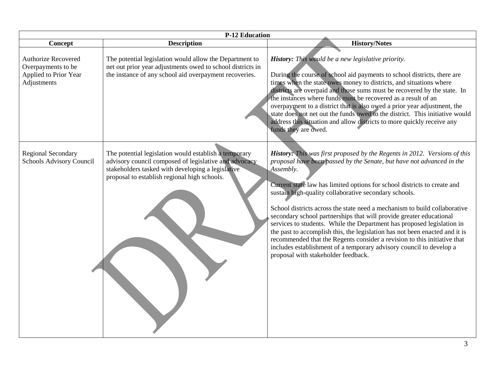| <b>P-12 Education</b>                                                             |                                                                                                                                                                                                                     |                                                                                                                                                                                                                                                                                                                                                                                                                                                                                                                                                                                                                                                                                                                                                                                                                    |
|-----------------------------------------------------------------------------------|---------------------------------------------------------------------------------------------------------------------------------------------------------------------------------------------------------------------|--------------------------------------------------------------------------------------------------------------------------------------------------------------------------------------------------------------------------------------------------------------------------------------------------------------------------------------------------------------------------------------------------------------------------------------------------------------------------------------------------------------------------------------------------------------------------------------------------------------------------------------------------------------------------------------------------------------------------------------------------------------------------------------------------------------------|
| Concept                                                                           | <b>Description</b>                                                                                                                                                                                                  | <b>History/Notes</b>                                                                                                                                                                                                                                                                                                                                                                                                                                                                                                                                                                                                                                                                                                                                                                                               |
| Authorize Recovered<br>Overpayments to be<br>Applied to Prior Year<br>Adjustments | The potential legislation would allow the Department to<br>net out prior year adjustments owed to school districts in<br>the instance of any school aid overpayment recoveries.                                     | History: This would be a new legislative priority.<br>During the course of school aid payments to school districts, there are<br>times when the state owes money to districts, and situations where<br>districts are overpaid and those sums must be recovered by the state. In<br>the instances where funds must be recovered as a result of an<br>overpayment to a district that is also owed a prior year adjustment, the<br>state does not net out the funds owed to the district. This initiative would<br>address this situation and allow districts to more quickly receive any<br>funds they are owed.                                                                                                                                                                                                     |
| <b>Regional Secondary</b><br>Schools Advisory Council                             | The potential legislation would establish a temporary<br>advisory council composed of legislative and advocacy<br>stakeholders tasked with developing a legislative<br>proposal to establish regional high schools. | <b>History:</b> This was first proposed by the Regents in 2012. Versions of this<br>proposal have been passed by the Senate, but have not advanced in the<br>Assembly.<br>Current state law has limited options for school districts to create and<br>sustain high-quality collaborative secondary schools.<br>School districts across the state need a mechanism to build collaborative<br>secondary school partnerships that will provide greater educational<br>services to students. While the Department has proposed legislation in<br>the past to accomplish this, the legislation has not been enacted and it is<br>recommended that the Regents consider a revision to this initiative that<br>includes establishment of a temporary advisory council to develop a<br>proposal with stakeholder feedback. |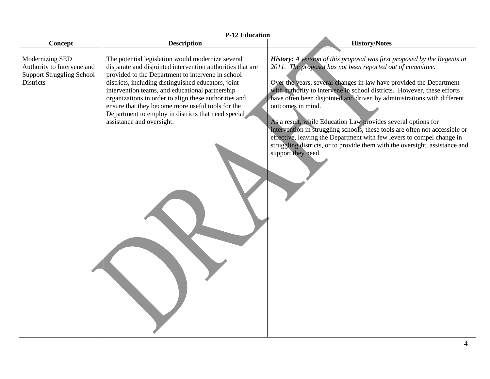| <b>P-12 Education</b>                                                                                 |                                                                                                                                                                                                                                                                                                                                                                                                                                                                                  |                                                                                                                                                                                                                                                                                                                                                                                                                                                                                                                                                                                                                                                                                                                               |
|-------------------------------------------------------------------------------------------------------|----------------------------------------------------------------------------------------------------------------------------------------------------------------------------------------------------------------------------------------------------------------------------------------------------------------------------------------------------------------------------------------------------------------------------------------------------------------------------------|-------------------------------------------------------------------------------------------------------------------------------------------------------------------------------------------------------------------------------------------------------------------------------------------------------------------------------------------------------------------------------------------------------------------------------------------------------------------------------------------------------------------------------------------------------------------------------------------------------------------------------------------------------------------------------------------------------------------------------|
| Concept                                                                                               | <b>Description</b>                                                                                                                                                                                                                                                                                                                                                                                                                                                               | <b>History/Notes</b>                                                                                                                                                                                                                                                                                                                                                                                                                                                                                                                                                                                                                                                                                                          |
| Modernizing SED<br>Authority to Intervene and<br><b>Support Struggling School</b><br><b>Districts</b> | The potential legislation would modernize several<br>disparate and disjointed intervention authorities that are<br>provided to the Department to intervene in school<br>districts, including distinguished educators, joint<br>intervention teams, and educational partnership<br>organizations in order to align these authorities and<br>ensure that they become more useful tools for the<br>Department to employ in districts that need special<br>assistance and oversight. | <b>History:</b> A version of this proposal was first proposed by the Regents in<br>2011. The proposal has not been reported out of committee.<br>Over the years, several changes in law have provided the Department<br>with authority to intervene in school districts. However, these efforts<br>have often been disjointed and driven by administrations with different<br>outcomes in mind.<br>As a result, while Education Law provides several options for<br>intervention in struggling schools, these tools are often not accessible or<br>effective, leaving the Department with few levers to compel change in<br>struggling districts, or to provide them with the oversight, assistance and<br>support they need. |
|                                                                                                       |                                                                                                                                                                                                                                                                                                                                                                                                                                                                                  |                                                                                                                                                                                                                                                                                                                                                                                                                                                                                                                                                                                                                                                                                                                               |